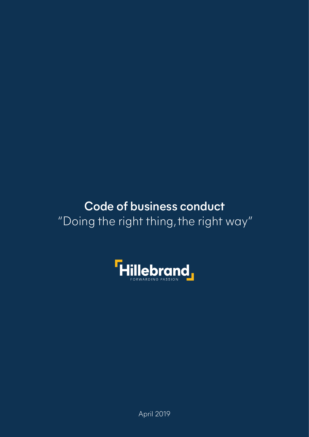### Code of business conduct "Doing the right thing, the right way"



April 2019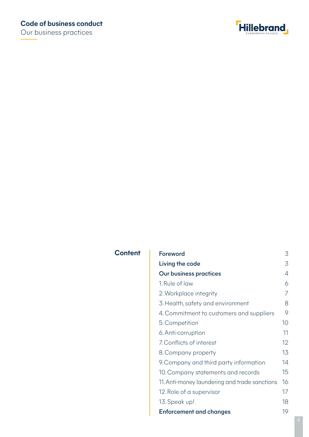Our business practices



#### **Content**

| <b>Foreword</b>                               | 3              |
|-----------------------------------------------|----------------|
| Living the code                               | 3              |
| <b>Our business practices</b>                 | $\overline{4}$ |
| 1. Rule of law                                | 6              |
| 2. Workplace integrity                        | 7              |
| 3. Health, safety and environment             | 8              |
| 4. Commitment to customers and suppliers      | 9              |
| 5. Competition                                | 10             |
| 6. Anti-corruption                            | 11             |
| 7. Conflicts of interest                      | 12             |
| 8. Company property                           | 13             |
| 9. Company and third party information        | 14             |
| 10. Company statements and records            | 15             |
| 11. Anti-money laundering and trade sanctions | 16             |
| 12. Role of a supervisor                      | 17             |
| 13. Speak up!                                 | 18             |
| <b>Enforcement and changes</b>                | 19             |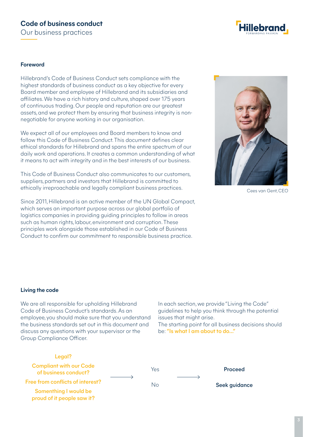#### **Code of business conduct** Our business practices



#### **Foreword**

Hillebrand's Code of Business Conduct sets compliance with the highest standards of business conduct as a key objective for every Board member and employee of Hillebrand and its subsidiaries and afiliates. We have a rich history and culture, shaped over 175 years of continuous trading. Our people and reputation are our greatest assets, and we protect them by ensuring that business integrity is nonnegotiable for anyone working in our organisation.

We expect all of our employees and Board members to know and follow this Code of Business Conduct This document defines clear ethical standards for Hillebrand and spans the entire spectrum of our daily work and operations. It creates a common understanding of what it means to act with integrity and in the best interests of our business.

This Code of Business Conduct also communicates to our customers, suppliers, partners and investors that Hillebrand is committed to ethically irreproachable and legally compliant business practices.

Since 2011, Hillebrand is an active member of the UN Global Compact, which serves an important purpose across our global portfolio of logistics companies in providing guiding principles to follow in areas such as human rights, labour, environment and corruption. These principles work alongside those established in our Code of Business Conduct to confirm our commitment to responsible business practice.



Cees van Gent, CEO

#### **Living the code**

We are all responsible for upholding Hillebrand Code of Business Conduct's standards. As an employee, you should make sure that you understand the business standards set out in this document and discuss any questions with your supervisor or the Group Compliance Oficer.

In each section, we provide "Living the Code" guidelines to help you think through the potential issues that might arise.

The starting point for all business decisions should be: "Is what I am about to do…"

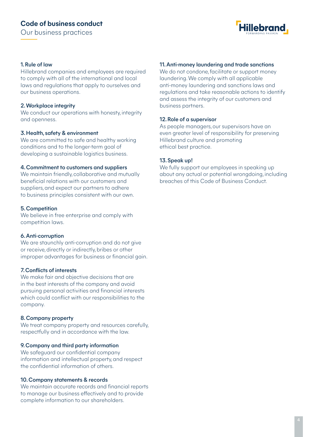

#### 1. Rule of law

Hillebrand companies and employees are required to comply with all of the international and local laws and regulations that apply to ourselves and our business operations.

#### 2. Workplace integrity

We conduct our operations with honesty, integrity and openness.

#### 3. Health, safety & environment

We are committed to safe and healthy working conditions and to the longer-term goal of developing a sustainable logistics business.

#### 4. Commitment to customers and suppliers

We maintain friendly, collaborative and mutually beneficial relations with our customers and suppliers, and expect our partners to adhere to business principles consistent with our own.

#### 5. Competition

We believe in free enterprise and comply with competition laws.

#### 6. Anti-corruption

We are staunchly anti-corruption and do not give or receive, directly or indirectly, bribes or other improper advantages for business or financial gain.

#### 7. Conflicts of interests

We make fair and objective decisions that are in the best interests of the company and avoid pursuing personal activities and financial interests which could conflict with our responsibilities to the company.

#### 8. Company property

We treat company property and resources carefully, respectfully and in accordance with the law.

#### 9. Company and third party information

We safeguard our confidential company information and intellectual property, and respect the confidential information of others.

#### 10. Company statements & records

We maintain accurate records and financial reports to manage our business efectively and to provide complete information to our shareholders.

#### 11. Anti-money laundering and trade sanctions

We do not condone, facilitate or support money laundering. We comply with all applicable anti-money laundering and sanctions laws and regulations and take reasonable actions to identify and assess the integrity of our customers and business partners.

#### 12. Role of a supervisor

As people managers, our supervisors have an even greater level of responsibility for preserving Hillebrand culture and promoting ethical best practice.

#### 13. Speak up!

We fully support our employees in speaking up about any actual or potential wrongdoing, including breaches of this Code of Business Conduct.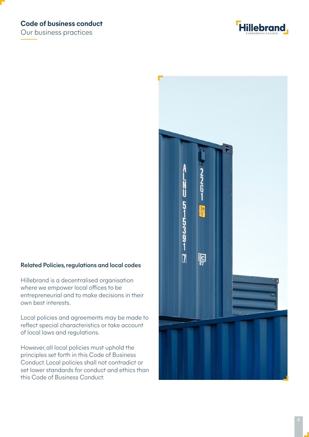#### **Code of business conduct**

Our business practices



# **22651** U **519991-01** 2.6m<br>3'6"  $\overline{\mathbf{J}}$ **Palgr**

#### Related Policies, regulations and local codes

Hillebrand is a decentralised organisation where we empower local offices to be entrepreneurial and to make decisions in their own best interests.

Local policies and agreements may be made to reflect special characteristics or take account of local laws and regulations.

However, all local policies must uphold the principles set forth in this Code of Business Conduct. Local policies shall not contradict or set lower standards for conduct and ethics than this Code of Business Conduct.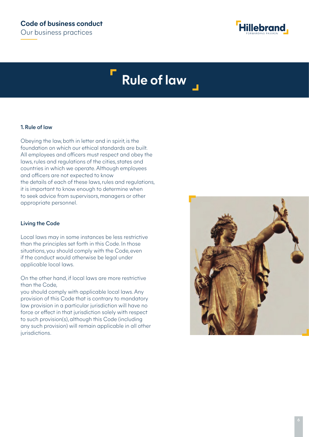

# **Rule of law**

#### 1. Rule of law

Obeying the law, both in letter and in spirit, is the foundation on which our ethical standards are built. All employees and oficers must respect and obey the laws, rules and regulations of the cities, states and countries in which we operate. Although employees and oficers are not expected to know the details of each of these laws, rules and regulations, it is important to know enough to determine when to seek advice from supervisors, managers or other appropriate personnel.

#### Living the Code

Local laws may in some instances be less restrictive than the principles set forth in this Code. In those situations, you should comply with the Code, even if the conduct would otherwise be legal under applicable local laws.

#### On the other hand, if local laws are more restrictive than the Code,

you should comply with applicable local laws. Any provision of this Code that is contrary to mandatory law provision in a particular jurisdiction will have no force or effect in that jurisdiction solely with respect to such provision(s), although this Code (including any such provision) will remain applicable in all other jurisdictions.

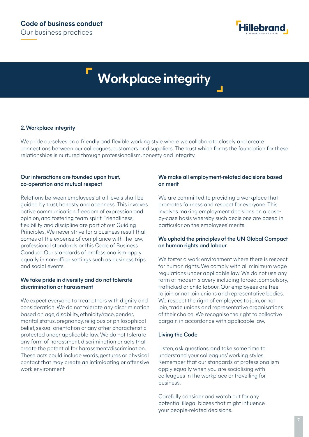

# **Workplace integrity**

#### 2.Workplace integrity

We pride ourselves on a friendly and flexible working style where we collaborate closely and create connections between our colleagues, customers and suppliers. The trust which forms the foundation for these relationships is nurtured through professionalism, honesty and integrity.

#### Our interactions are founded upon trust, co-operation and mutual respect

Relations between employees at all levels shall be guided by trust, honesty and openness. This involves active communication, freedom of expression and opinion, and fostering team spirit.Friendliness, flexibility and discipline are part of our Guiding Principles.We never strive for a business result that comes at the expense of compliance with the law, professional standards or this Code of Business Conduct. Our standards of professionalism apply equally in non-office settings such as business trips and social events.

#### We take pride in diversity and do not tolerate discrimination or harassment

We expect everyone to treat others with dignity and consideration.We do not tolerate any discrimination based on age, disability,ethnicity/race, gender, marital status, pregnancy, religious or philosophical belief, sexual orientation or any other characteristic protected under applicable law.We do not tolerate any form of harassment, discrimination or acts that create the potential for harassment/discrimination. These acts could include words, gestures or physical contact that may create an intimidating or offensive work environment.

#### We make all employment-related decisions based on merit

We are committed to providing a workplace that promotes fairness and respect for everyone. This involves making employment decisions on a caseby-case basis whereby such decisions are based in particular on the employees' merits.

#### We uphold the principles of the UN Global Compact on human rights and labour

We foster a work environment where there is respect for human rights.We comply with all minimum wage regulations under applicable law.We do not use any form of modern slavery including forced, compulsory, trafficked or child labour. Our employees are free to join or not join unions and representative bodies. We respect the right of employees to join, or not join, trade unions and representative organisations of their choice.We recognise the right to collective bargain in accordance with applicable law.

#### Living the Code

Listen, ask questions, and take some time to understand your colleagues'working styles. Remember that our standards of professionalism apply equally when you are socialising with colleagues in the workplace or travelling for business.

Carefully consider and watch out for any potential illegal biases that might influence your people-related decisions.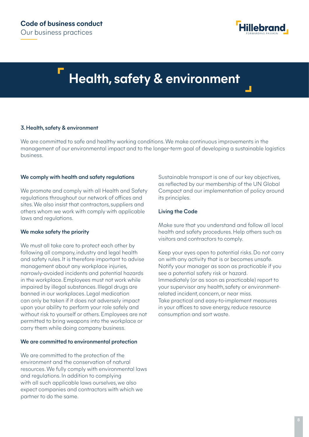

# **Health, safety & environment**

#### 3. Health, safety & environment

We are committed to safe and healthy working conditions. We make continuous improvements in the management of our environmental impact and to the longer-term goal of developing a sustainable logistics business.

#### We comply with health and safety regulations

We promote and comply with all Health and Safety regulations throughout our network of ofices and sites. We also insist that contractors, suppliers and others whom we work with comply with applicable laws and regulations.

#### We make safety the priority

We must all take care to protect each other by following all company, industry and legal health and safety rules. It is therefore important to advise management about any workplace injuries, narrowly-avoided incidents and potential hazards in the workplace. Employees must not work while impaired by illegal substances. Illegal drugs are banned in our workplaces. Legal medication can only be taken if it does not adversely impact upon your ability to perform your role safely and without risk to yourself or others. Employees are not permitted to bring weapons into the workplace or carry them while doing company business.

#### We are committed to environmental protection

We are committed to the protection of the environment and the conservation of natural resources. We fully comply with environmental laws and regulations. In addition to complying with all such applicable laws ourselves, we also expect companies and contractors with which we partner to do the same.

Sustainable transport is one of our key objectives, as reflected by our membership of the UN Global Compact and our implementation of policy around its principles.

#### Living the Code

Make sure that you understand and follow all local health and safety procedures. Help others such as visitors and contractors to comply.

Keep your eyes open to potential risks. Do not carry on with any activity that is or becomes unsafe. Notify your manager as soon as practicable if you see a potential safety risk or hazard. Immediately (or as soon as practicable) report to your supervisor any health, safety or environmentrelated incident, concern, or near miss. Take practical and easy-to-implement measures in your ofices to save energy, reduce resource consumption and sort waste.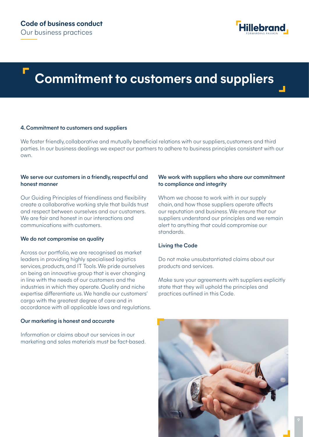

## **Commitment to customers and suppliers**

#### 4. Commitment to customers and suppliers

We foster friendly, collaborative and mutually beneficial relations with our suppliers, customers and third parties. In our business dealings we expect our partners to adhere to business principles consistent with our own.

#### We serve our customers in a friendly, respectful and honest manner

Our Guiding Principles of friendliness and flexibility create a collaborative working style that builds trust and respect between ourselves and our customers. We are fair and honest in our interactions and communications with customers.

#### We do not compromise on quality

Across our portfolio, we are recognised as market leaders in providing highly specialised logistics services, products, and IT Tools. We pride ourselves on being an innovative group that is ever changing in line with the needs of our customers and the industries in which they operate. Quality and niche expertise diferentiate us. We handle our customers' cargo with the greatest degree of care and in accordance with all applicable laws and regulations.

#### Our marketing is honest and accurate

Information or claims about our services in our marketing and sales materials must be fact-based.

#### We work with suppliers who share our commitment to compliance and integrity

Whom we choose to work with in our supply chain, and how those suppliers operate afects our reputation and business. We ensure that our suppliers understand our principles and we remain alert to anything that could compromise our standards.

#### Living the Code

Do not make unsubstantiated claims about our products and services.

Make sure your agreements with suppliers explicitly state that they will uphold the principles and practices outlined in this Code.

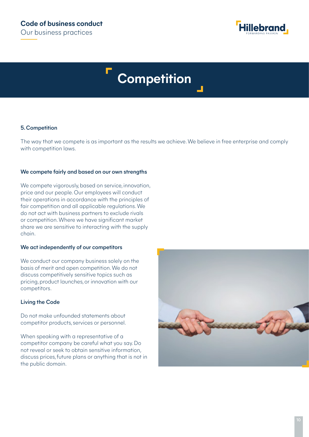

# **Competition**

#### 5. Competition

The way that we compete is as important as the results we achieve. We believe in free enterprise and comply with competition laws.

#### We compete fairly and based on our own strengths

We compete vigorously, based on service, innovation, price and our people. Our employees will conduct their operations in accordance with the principles of fair competition and all applicable regulations. We do not act with business partners to exclude rivals or competition. Where we have significant market share we are sensitive to interacting with the supply chain.

#### We act independently of our competitors

We conduct our company business solely on the basis of merit and open competition. We do not discuss competitively sensitive topics such as pricing, product launches, or innovation with our competitors.

#### Living the Code

Do not make unfounded statements about competitor products, services or personnel.

When speaking with a representative of a competitor company be careful what you say. Do not reveal or seek to obtain sensitive information, discuss prices, future plans or anything that is not in the public domain.

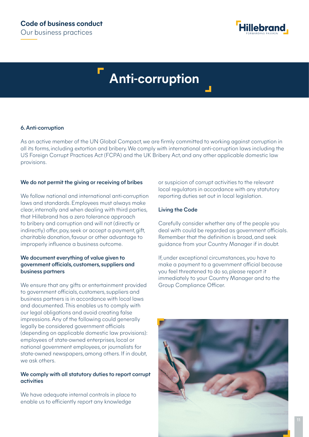

# **Anti-corruption**

#### 6. Anti-corruption

As an active member of the UN Global Compact, we are firmly committed to working against corruption in all its forms, including extortion and bribery. We comply with international anti-corruption laws including the US Foreign Corrupt Practices Act (FCPA) and the UK Bribery Act, and any other applicable domestic law provisions.

#### We do not permit the giving or receiving of bribes

We follow national and international anti-corruption laws and standards. Employees must always make clear, internally and when dealing with third parties, that Hillebrand has a zero tolerance approach to bribery and corruption and will not (directly or indirectly) offer, pay, seek or accept a payment, gift, charitable donation, favour or other advantage to improperly influence a business outcome.

#### We document everything of value given to government oficials, customers, suppliers and business partners

We ensure that any gifts or entertainment provided to government oficials, customers, suppliers and business partners is in accordance with local laws and documented. This enables us to comply with our legal obligations and avoid creating false impressions. Any of the following could generally legally be considered government oficials (depending on applicable domestic law provisions): employees of state-owned enterprises, local or national government employees, or journalists for state-owned newspapers, among others. If in doubt, we ask others.

#### We comply with all statutory duties to report corrupt activities

We have adequate internal controls in place to enable us to eficiently report any knowledge

or suspicion of corrupt activities to the relevant local regulators in accordance with any statutory reporting duties set out in local legislation.

#### Living the Code

Carefully consider whether any of the people you deal with could be regarded as government oficials. Remember that the definition is broad, and seek guidance from your Country Manager if in doubt.

If, under exceptional circumstances, you have to make a payment to a government oficial because you feel threatened to do so, please report it immediately to your Country Manager and to the Group Compliance Oficer.

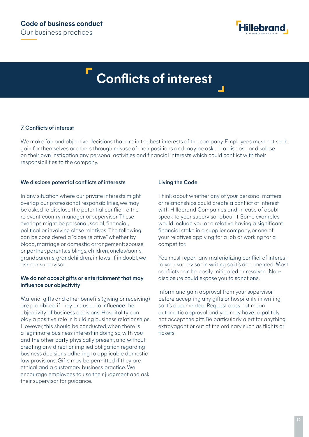

# **Conflicts of interest**

#### 7. Conflicts of interest

We make fair and objective decisions that are in the best interests of the company. Employees must not seek gain for themselves or others through misuse of their positions and may be asked to disclose or disclose on their own instigation any personal activities and financial interests which could conflict with their responsibilities to the company.

#### We disclose potential conflicts of interests

In any situation where our private interests might overlap our professional responsibilities, we may be asked to disclose the potential conflict to the relevant country manager or supervisor. These overlaps might be personal, social, financial, political or involving close relatives. The following can be considered a "close relative" whether by blood, marriage or domestic arrangement: spouse or partner, parents, siblings, children, uncles/aunts, grandparents, grandchildren, in-laws. If in doubt, we ask our supervisor.

#### We do not accept gifts or entertainment that may influence our objectivity

Material gifts and other benefits (giving or receiving) are prohibited if they are used to influence the objectivity of business decisions. Hospitality can play a positive role in building business relationships. However, this should be conducted when there is a legitimate business interest in doing so, with you and the other party physically present, and without creating any direct or implied obligation regarding business decisions adhering to applicable domestic law provisions. Gifts may be permitted if they are ethical and a customary business practice. We encourage employees to use their judgment and ask their supervisor for guidance.

#### Living the Code

Think about whether any of your personal matters or relationships could create a conflict of interest with Hillebrand Companies and, in case of doubt, speak to your supervisor about it. Some examples would include you or a relative having a significant financial stake in a supplier company, or one of your relatives applying for a job or working for a competitor.

You must report any materializing conflict of interest to your supervisor in writing so it's documented. Most conflicts can be easily mitigated or resolved. Nondisclosure could expose you to sanctions.

Inform and gain approval from your supervisor before accepting any gifts or hospitality in writing so it's documented. Request does not mean automatic approval and you may have to politely not accept the gift. Be particularly alert for anything extravagant or out of the ordinary such as flights or tickets.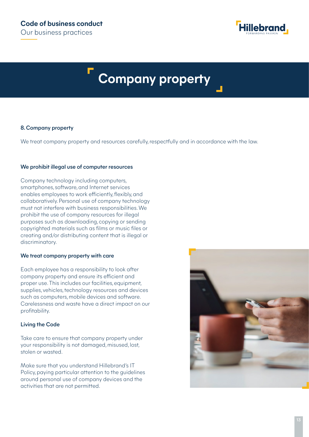

# **Company property**

#### 8. Company property

We treat company property and resources carefully, respectfully and in accordance with the law.

#### We prohibit illegal use of computer resources

Company technology including computers, smartphones, software, and Internet services enables employees to work eficiently, flexibly, and collaboratively. Personal use of company technology must not interfere with business responsibilities. We prohibit the use of company resources for illegal purposes such as downloading, copying or sending copyrighted materials such as films or music files or creating and/or distributing content that is illegal or discriminatory.

#### We treat company property with care

Each employee has a responsibility to look after company property and ensure its eficient and proper use. This includes our facilities, equipment, supplies, vehicles, technology resources and devices such as computers, mobile devices and software. Carelessness and waste have a direct impact on our profitability.

#### Living the Code

Take care to ensure that company property under your responsibility is not damaged, misused, lost, stolen or wasted.

Make sure that you understand Hillebrand's IT Policy, paying particular attention to the guidelines around personal use of company devices and the activities that are not permitted.

![](_page_12_Picture_12.jpeg)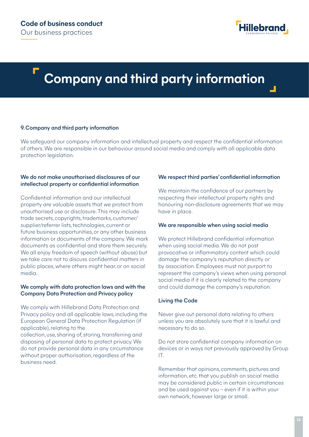![](_page_13_Picture_1.jpeg)

# **Company and third party information**

#### 9. Company and third party information

We safeguard our company information and intellectual property and respect the confidential information of others. We are responsible in our behaviour around social media and comply with all applicable data protection legislation.

#### We do not make unauthorised disclosures of our intellectual property or confidential information

Confidential information and our intellectual property are valuable assets that we protect from unauthorised use or disclosure. This may include trade secrets, copyrights, trademarks, customer/ supplier/referrer lists, technologies, current or future business opportunities, or any other business information or documents of the company. We mark documents as confidential and store them securely. We all enjoy freedom of speech (without abuse) but we take care not to discuss confidential matters in public places, where others might hear, or on social media.

#### We comply with data protection laws and with the Company Data Protection and Privacy policy

We comply with Hillebrand Data Protection and Privacy policy and all applicable laws, including the European General Data Protection Regulation (if applicable), relating to the collection, use, sharing of, storing, transferring and disposing of personal data to protect privacy. We do not provide personal data in any circumstance without proper authorisation, regardless of the business need.

#### We respect third parties' confidential information

We maintain the confidence of our partners by respecting their intellectual property rights and honouring non-disclosure agreements that we may have in place.

#### We are responsible when using social media

We protect Hillebrand confidential information when using social media. We do not post provocative or inflammatory content which could damage the company's reputation directly or by association. Employees must not purport to represent the company's views when using personal social media if it is clearly related to the company and could damage the company's reputation.

#### Living the Code

Never give out personal data relating to others unless you are absolutely sure that it is lawful and necessary to do so.

Do not store confidential company information on devices or in ways not previously approved by Group IT.

Remember that opinions, comments, pictures and information, etc. that you publish on social media may be considered public in certain circumstances and be used against you – even if it is within your own network, however large or small.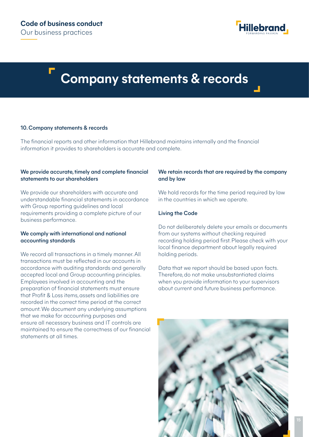![](_page_14_Picture_1.jpeg)

### **Company statements & records**

#### 10. Company statements & records

The financial reports and other information that Hillebrand maintains internally and the financial information it provides to shareholders is accurate and complete.

#### We provide accurate, timely and complete financial statements to our shareholders

We provide our shareholders with accurate and understandable financial statements in accordance with Group reporting guidelines and local requirements providing a complete picture of our business performance.

#### We comply with international and national accounting standards

We record all transactions in a timely manner. All transactions must be reflected in our accounts in accordance with auditing standards and generally accepted local and Group accounting principles. Employees involved in accounting and the preparation of financial statements must ensure that Profit & Loss items, assets and liabilities are recorded in the correct time period at the correct amount. We document any underlying assumptions that we make for accounting purposes and ensure all necessary business and IT controls are maintained to ensure the correctness of our financial statements at all times.

#### We retain records that are required by the company and by law

We hold records for the time period required by law in the countries in which we operate.

#### Living the Code

Do not deliberately delete your emails or documents from our systems without checking required recording holding period first. Please check with your local finance department about legally required holding periods.

Data that we report should be based upon facts. Therefore, do not make unsubstantiated claims when you provide information to your supervisors about current and future business performance.

![](_page_14_Picture_14.jpeg)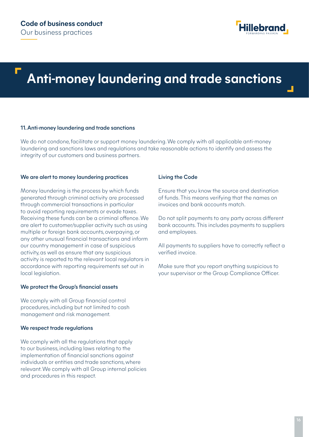![](_page_15_Picture_1.jpeg)

# **Anti-money laundering and trade sanctions**

#### 11. Anti-money laundering and trade sanctions

We do not condone, facilitate or support money laundering. We comply with all applicable anti-money laundering and sanctions laws and regulations and take reasonable actions to identify and assess the integrity of our customers and business partners.

#### We are alert to money laundering practices

Money laundering is the process by which funds generated through criminal activity are processed through commercial transactions in particular to avoid reporting requirements or evade taxes. Receiving these funds can be a criminal ofence. We are alert to customer/supplier activity such as using multiple or foreign bank accounts, overpaying, or any other unusual financial transactions and inform our country management in case of suspicious activity, as well as ensure that any suspicious activity is reported to the relevant local regulators in accordance with reporting requirements set out in local legislation.

#### We protect the Group's financial assets

We comply with all Group financial control procedures, including but not limited to cash management and risk management.

#### We respect trade regulations

We comply with all the regulations that apply to our business, including laws relating to the implementation of financial sanctions against individuals or entities and trade sanctions, where relevant. We comply with all Group internal policies and procedures in this respect.

#### Living the Code

Ensure that you know the source and destination of funds. This means verifying that the names on invoices and bank accounts match.

Do not split payments to any party across diferent bank accounts. This includes payments to suppliers and employees.

All payments to suppliers have to correctly reflect a verified invoice.

Make sure that you report anything suspicious to your supervisor or the Group Compliance Oficer.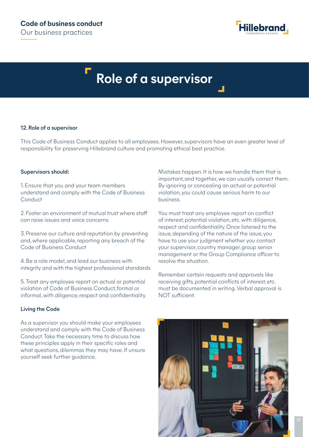![](_page_16_Picture_1.jpeg)

# **Role of a supervisor**

#### 12. Role of a supervisor

This Code of Business Conduct applies to all employees. However, supervisors have an even greater level of responsibility for preserving Hillebrand culture and promoting ethical best practice.

#### Supervisors should:

1. Ensure that you and your team members understand and comply with the Code of Business Conduct

2. Foster an environment of mutual trust where staf can raise issues and voice concerns

3. Preserve our culture and reputation by preventing and, where applicable, reporting any breach of the Code of Business Conduct

4. Be a role model, and lead our business with integrity and with the highest professional standards

5. Treat any employee report on actual or potential violation of Code of Business Conduct, formal or informal, with diligence, respect and confidentiality.

#### Living the Code

As a supervisor you should make your employees understand and comply with the Code of Business Conduct. Take the necessary time to discuss how these principles apply in their specific roles and what questions, dilemmas they may have. If unsure yourself seek further guidance.

Mistakes happen. It is how we handle them that is important, and together, we can usually correct them. By ignoring or concealing an actual or potential violation, you could cause serious harm to our business.

You must treat any employee report on conflict of interest, potential violation, etc. with diligence, respect and confidentiality. Once listened to the issue, depending of the nature of the issue, you have to use your judgment whether you contact your supervisor, country manager, group senior management or the Group Compliance oficer to resolve the situation.

Remember certain requests and approvals like receiving gifts, potential conflicts of interest, etc. must be documented in writing. Verbal approval is NOT suficient.

![](_page_16_Picture_16.jpeg)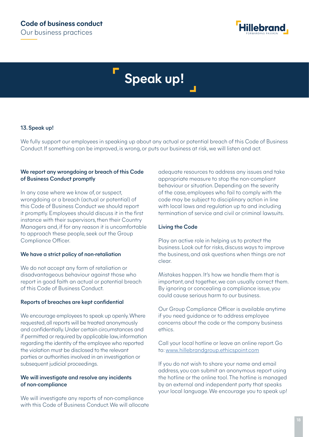![](_page_17_Picture_1.jpeg)

# **Speak up!**

#### 13. Speak up!

We fully support our employees in speaking up about any actual or potential breach of this Code of Business Conduct. If something can be improved, is wrong, or puts our business at risk, we will listen and act.

#### We report any wrongdoing or breach of this Code of Business Conduct promptly

In any case where we know of, or suspect, wrongdoing or a breach (actual or potential) of this Code of Business Conduct we should report it promptly. Employees should discuss it in the first instance with their supervisors, then their Country Managers and, if for any reason it is uncomfortable to approach these people, seek out the Group Compliance Oficer.

#### We have a strict policy of non-retaliation

We do not accept any form of retaliation or disadvantageous behaviour against those who report in good faith an actual or potential breach of this Code of Business Conduct.

#### Reports of breaches are kept confidential

We encourage employees to speak up openly. Where requested, all reports will be treated anonymously and confidentially. Under certain circumstances and if permitted or required by applicable law, information regarding the identity of the employee who reported the violation must be disclosed to the relevant parties or authorities involved in an investigation or subsequent judicial proceedings.

#### We will investigate and resolve any incidents of non-compliance

We will investigate any reports of non-compliance with this Code of Business Conduct. We will allocate adequate resources to address any issues and take appropriate measure to stop the non-compliant behaviour or situation. Depending on the severity of the case, employees who fail to comply with the code may be subject to disciplinary action in line with local laws and regulation up to and including termination of service and civil or criminal lawsuits.

#### Living the Code

Play an active role in helping us to protect the business. Look out for risks, discuss ways to improve the business, and ask questions when things are not clear.

Mistakes happen. It's how we handle them that is important, and together, we can usually correct them. By ignoring or concealing a compliance issue, you could cause serious harm to our business.

Our Group Compliance Oficer is available anytime if you need guidance or to address employee concerns about the code or the company business ethics.

Call your local hotline or leave an online report. Go to: www.hillebrandgroup.ethicspoint.com

If you do not wish to share your name and email address, you can submit an anonymous report using the hotline or the online tool. The hotline is managed by an external and independent party that speaks your local language. We encourage you to speak up!